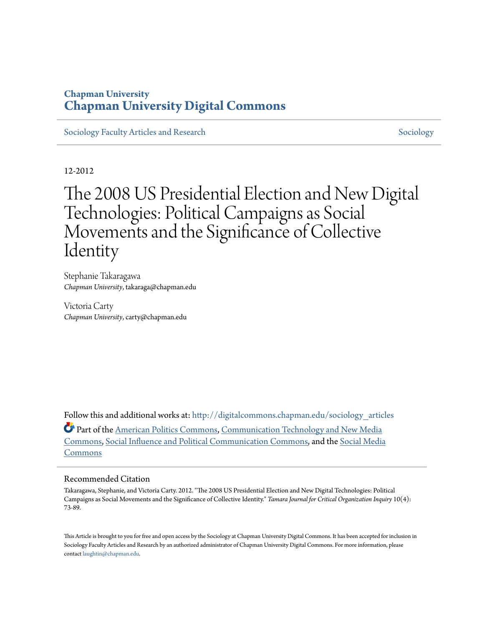### **Chapman University [Chapman University Digital Commons](http://digitalcommons.chapman.edu?utm_source=digitalcommons.chapman.edu%2Fsociology_articles%2F9&utm_medium=PDF&utm_campaign=PDFCoverPages)**

[Sociology Faculty Articles and Research](http://digitalcommons.chapman.edu/sociology_articles?utm_source=digitalcommons.chapman.edu%2Fsociology_articles%2F9&utm_medium=PDF&utm_campaign=PDFCoverPages) [Sociology](http://digitalcommons.chapman.edu/sociology?utm_source=digitalcommons.chapman.edu%2Fsociology_articles%2F9&utm_medium=PDF&utm_campaign=PDFCoverPages) Sociology Sociology

12-2012

# The 2008 US Presidential Election and New Digital Technologies: Political Campaigns as Social Movements and the Significance of Collective Identity

Stephanie Takaragawa *Chapman University*, takaraga@chapman.edu

Victoria Carty *Chapman University*, carty@chapman.edu

Follow this and additional works at: [http://digitalcommons.chapman.edu/sociology\\_articles](http://digitalcommons.chapman.edu/sociology_articles?utm_source=digitalcommons.chapman.edu%2Fsociology_articles%2F9&utm_medium=PDF&utm_campaign=PDFCoverPages) Part of the [American Politics Commons](http://network.bepress.com/hgg/discipline/387?utm_source=digitalcommons.chapman.edu%2Fsociology_articles%2F9&utm_medium=PDF&utm_campaign=PDFCoverPages), [Communication Technology and New Media](http://network.bepress.com/hgg/discipline/327?utm_source=digitalcommons.chapman.edu%2Fsociology_articles%2F9&utm_medium=PDF&utm_campaign=PDFCoverPages) [Commons,](http://network.bepress.com/hgg/discipline/327?utm_source=digitalcommons.chapman.edu%2Fsociology_articles%2F9&utm_medium=PDF&utm_campaign=PDFCoverPages) [Social Influence and Political Communication Commons,](http://network.bepress.com/hgg/discipline/337?utm_source=digitalcommons.chapman.edu%2Fsociology_articles%2F9&utm_medium=PDF&utm_campaign=PDFCoverPages) and the [Social Media](http://network.bepress.com/hgg/discipline/1249?utm_source=digitalcommons.chapman.edu%2Fsociology_articles%2F9&utm_medium=PDF&utm_campaign=PDFCoverPages) [Commons](http://network.bepress.com/hgg/discipline/1249?utm_source=digitalcommons.chapman.edu%2Fsociology_articles%2F9&utm_medium=PDF&utm_campaign=PDFCoverPages)

#### Recommended Citation

Takaragawa, Stephanie, and Victoria Carty. 2012. "The 2008 US Presidential Election and New Digital Technologies: Political Campaigns as Social Movements and the Significance of Collective Identity." *Tamara Journal for Critical Organization Inquiry* 10(4): 73-89.

This Article is brought to you for free and open access by the Sociology at Chapman University Digital Commons. It has been accepted for inclusion in Sociology Faculty Articles and Research by an authorized administrator of Chapman University Digital Commons. For more information, please contact [laughtin@chapman.edu](mailto:laughtin@chapman.edu).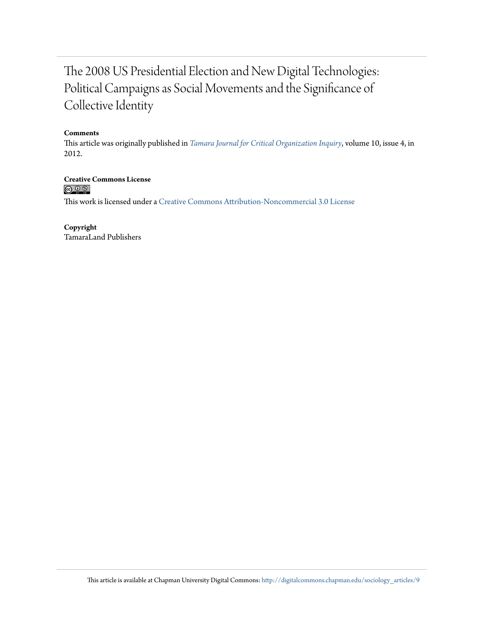### The 2008 US Presidential Election and New Digital Technologies: Political Campaigns as Social Movements and the Significance of Collective Identity

#### **Comments**

This article was originally published in *[Tamara Journal for Critical Organization Inquiry](http://tamarajournal.com/)*, volume 10, issue 4, in 2012.

**Creative Commons License**  $\circledcirc$ 

This work is licensed under a [Creative Commons Attribution-Noncommercial 3.0 License](http://creativecommons.org/licenses/by-nc/3.0/)

**Copyright** TamaraLand Publishers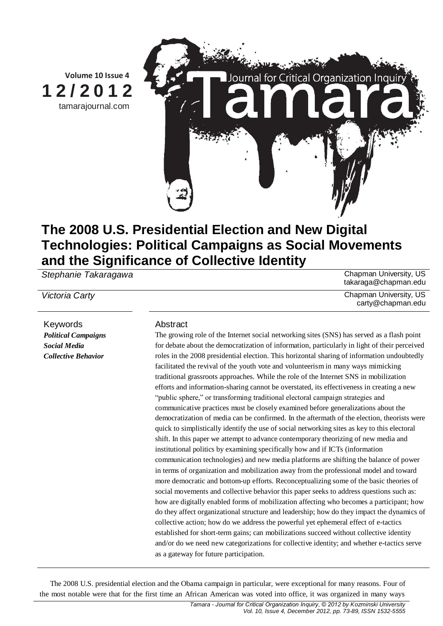

## **The 2008 U.S. Presidential Election and New Digital Technologies: Political Campaigns as Social Movements and the Significance of Collective Identity**

**Stephanie Takaragawa** Chapman University, US

Keywords **Abstract** *Political Campaigns Social Media Collective Behavior*

The growing role of the Internet social networking sites (SNS) has served as a flash point for debate about the democratization of information, particularly in light of their perceived roles in the 2008 presidential election. This horizontal sharing of information undoubtedly facilitated the revival of the youth vote and volunteerism in many ways mimicking traditional grassroots approaches. While the role of the Internet SNS in mobilization efforts and information-sharing cannot be overstated, its effectiveness in creating a new "public sphere," or transforming traditional electoral campaign strategies and communicative practices must be closely examined before generalizations about the democratization of media can be confirmed. In the aftermath of the election, theorists were quick to simplistically identify the use of social networking sites as key to this electoral shift. In this paper we attempt to advance contemporary theorizing of new media and institutional politics by examining specifically how and if ICTs (information communication technologies) and new media platforms are shifting the balance of power in terms of organization and mobilization away from the professional model and toward more democratic and bottom-up efforts. Reconceptualizing some of the basic theories of social movements and collective behavior this paper seeks to address questions such as: how are digitally enabled forms of mobilization affecting who becomes a participant; how do they affect organizational structure and leadership; how do they impact the dynamics of collective action; how do we address the powerful yet ephemeral effect of e-tactics established for short-term gains; can mobilizations succeed without collective identity and/or do we need new categorizations for collective identity; and whether e-tactics serve as a gateway for future participation.

The 2008 U.S. presidential election and the Obama campaign in particular, were exceptional for many reasons. Four of the most notable were that for the first time an African American was voted into office, it was organized in many ways

takaraga@chapman.edu

**Victoria Carty** Chapman University, US carty@chapman.edu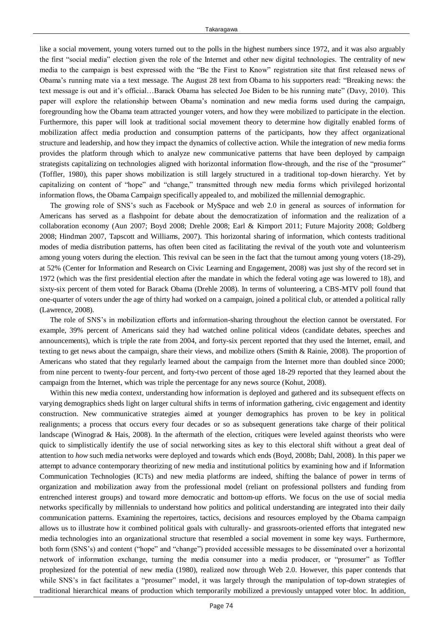like a social movement, young voters turned out to the polls in the highest numbers since 1972, and it was also arguably the first "social media" election given the role of the Internet and other new digital technologies. The centrality of new media to the campaign is best expressed with the "Be the First to Know" registration site that first released news of Obama's running mate via a text message. The August 28 text from Obama to his supporters read: "Breaking news: the text message is out and it's official…Barack Obama has selected Joe Biden to be his running mate" (Davy, 2010). This paper will explore the relationship between Obama's nomination and new media forms used during the campaign, foregrounding how the Obama team attracted younger voters, and how they were mobilized to participate in the election. Furthermore, this paper will look at traditional social movement theory to determine how digitally enabled forms of mobilization affect media production and consumption patterns of the participants, how they affect organizational structure and leadership, and how they impact the dynamics of collective action. While the integration of new media forms provides the platform through which to analyze new communicative patterns that have been deployed by campaign strategists capitalizing on technologies aligned with horizontal information flow-through, and the rise of the "prosumer" (Toffler, 1980), this paper shows mobilization is still largely structured in a traditional top-down hierarchy. Yet by capitalizing on content of "hope" and "change," transmitted through new media forms which privileged horizontal information flows, the Obama Campaign specifically appealed to, and mobilized the millennial demographic.

The growing role of SNS's such as Facebook or MySpace and web 2.0 in general as sources of information for Americans has served as a flashpoint for debate about the democratization of information and the realization of a collaboration economy (Aun 2007; Boyd 2008; Drehle 2008; Earl & Kimport 2011; Future Majority 2008; Goldberg 2008; Hindman 2007, Tapscott and Williams, 2007). This horizontal sharing of information, which contests traditional modes of media distribution patterns, has often been cited as facilitating the revival of the youth vote and volunteerism among young voters during the election. This revival can be seen in the fact that the turnout among young voters (18-29), at 52% (Center for Information and Research on Civic Learning and Engagement, 2008) was just shy of the record set in 1972 (which was the first presidential election after the mandate in which the federal voting age was lowered to 18), and sixty-six percent of them voted for Barack Obama (Drehle 2008). In terms of volunteering, a CBS-MTV poll found that one-quarter of voters under the age of thirty had worked on a campaign, joined a political club, or attended a political rally (Lawrence, 2008).

The role of SNS's in mobilization efforts and information-sharing throughout the election cannot be overstated. For example, 39% percent of Americans said they had watched online political videos (candidate debates, speeches and announcements), which is triple the rate from 2004, and forty-six percent reported that they used the Internet, email, and texting to get news about the campaign, share their views, and mobilize others (Smith & Rainie, 2008). The proportion of Americans who stated that they regularly learned about the campaign from the Internet more than doubled since 2000; from nine percent to twenty-four percent, and forty-two percent of those aged 18-29 reported that they learned about the campaign from the Internet, which was triple the percentage for any news source (Kohut, 2008).

Within this new media context, understanding how information is deployed and gathered and its subsequent effects on varying demographics sheds light on larger cultural shifts in terms of information gathering, civic engagement and identity construction. New communicative strategies aimed at younger demographics has proven to be key in political realignments; a process that occurs every four decades or so as subsequent generations take charge of their political landscape (Winograd & Hais, 2008). In the aftermath of the election, critiques were leveled against theorists who were quick to simplistically identify the use of social networking sites as key to this electoral shift without a great deal of attention to *how* such media networks were deployed and towards which ends (Boyd, 2008b; Dahl, 2008). In this paper we attempt to advance contemporary theorizing of new media and institutional politics by examining how and if Information Communication Technologies (ICTs) and new media platforms are indeed, shifting the balance of power in terms of organization and mobilization away from the professional model (reliant on professional pollsters and funding from entrenched interest groups) and toward more democratic and bottom-up efforts. We focus on the use of social media networks specifically by millennials to understand how politics and political understanding are integrated into their daily communication patterns. Examining the repertoires, tactics, decisions and resources employed by the Obama campaign allows us to illustrate how it combined political goals with culturally- and grassroots-oriented efforts that integrated new media technologies into an organizational structure that resembled a social movement in some key ways. Furthermore, both form (SNS's) and content ("hope" and "change") provided accessible messages to be disseminated over a horizontal network of information exchange, turning the media consumer into a media producer, or "prosumer" as Toffler prophesized for the potential of new media (1980), realized now through Web 2.0. However, this paper contends that while SNS's in fact facilitates a "prosumer" model, it was largely through the manipulation of top-down strategies of traditional hierarchical means of production which temporarily mobilized a previously untapped voter bloc. In addition,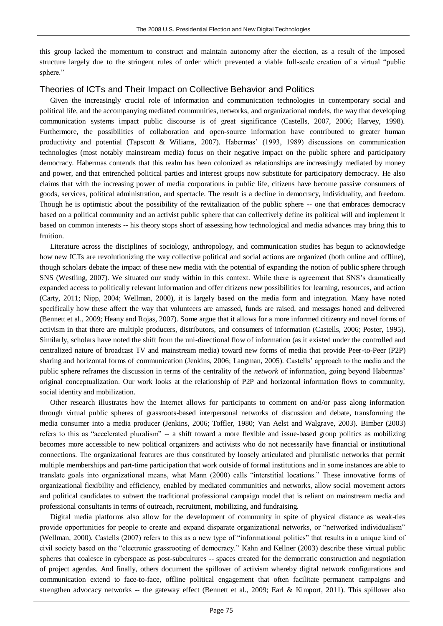this group lacked the momentum to construct and maintain autonomy after the election, as a result of the imposed structure largely due to the stringent rules of order which prevented a viable full-scale creation of a virtual "public sphere."

#### Theories of ICTs and Their Impact on Collective Behavior and Politics

Given the increasingly crucial role of information and communication technologies in contemporary social and political life, and the accompanying mediated communities, networks, and organizational models, the way that developing communication systems impact public discourse is of great significance (Castells, 2007, 2006; Harvey, 1998). Furthermore, the possibilities of collaboration and open-source information have contributed to greater human productivity and potential (Tapscott & Wiliams, 2007). Habermas' (1993, 1989) discussions on communication technologies (most notably mainstream media) focus on their negative impact on the public sphere and participatory democracy. Habermas contends that this realm has been colonized as relationships are increasingly mediated by money and power, and that entrenched political parties and interest groups now substitute for participatory democracy. He also claims that with the increasing power of media corporations in public life, citizens have become passive consumers of goods, services, political administration, and spectacle. The result is a decline in democracy, individuality, and freedom. Though he is optimistic about the possibility of the revitalization of the public sphere -- one that embraces democracy based on a political community and an activist public sphere that can collectively define its political will and implement it based on common interests -- his theory stops short of assessing how technological and media advances may bring this to fruition.

Literature across the disciplines of sociology, anthropology, and communication studies has begun to acknowledge how new ICTs are revolutionizing the way collective political and social actions are organized (both online and offline), though scholars debate the impact of these new media with the potential of expanding the notion of public sphere through SNS (Westling, 2007). We situated our study within in this context. While there is agreement that SNS's dramatically expanded access to politically relevant information and offer citizens new possibilities for learning, resources, and action (Carty, 2011; Nipp, 2004; Wellman, 2000), it is largely based on the media form and integration. Many have noted specifically how these affect the way that volunteers are amassed, funds are raised, and messages honed and delivered (Bennett et al., 2009; Heany and Rojas, 2007). Some argue that it allows for a more informed citizenry and novel forms of activism in that there are multiple producers, distributors, and consumers of information (Castells, 2006; Poster, 1995). Similarly, scholars have noted the shift from the uni-directional flow of information (as it existed under the controlled and centralized nature of broadcast TV and mainstream media) toward new forms of media that provide Peer-to-Peer (P2P) sharing and horizontal forms of communication (Jenkins, 2006; Langman, 2005). Castells' approach to the media and the public sphere reframes the discussion in terms of the centrality of the *network* of information, going beyond Habermas' original conceptualization. Our work looks at the relationship of P2P and horizontal information flows to community, social identity and mobilization.

Other research illustrates how the Internet allows for participants to comment on and/or pass along information through virtual public spheres of grassroots-based interpersonal networks of discussion and debate, transforming the media consumer into a media producer (Jenkins, 2006; Toffler, 1980; Van Aelst and Walgrave, 2003). Bimber (2003) refers to this as "accelerated pluralism" -- a shift toward a more flexible and issue-based group politics as mobilizing becomes more accessible to new political organizers and activists who do not necessarily have financial or institutional connections. The organizational features are thus constituted by loosely articulated and pluralistic networks that permit multiple memberships and part-time participation that work outside of formal institutions and in some instances are able to translate goals into organizational means, what Mann (2000) calls "interstitial locations." These innovative forms of organizational flexibility and efficiency, enabled by mediated communities and networks, allow social movement actors and political candidates to subvert the traditional professional campaign model that is reliant on mainstream media and professional consultants in terms of outreach, recruitment, mobilizing, and fundraising.

Digital media platforms also allow for the development of community in spite of physical distance as weak-ties provide opportunities for people to create and expand disparate organizational networks, or "networked individualism" (Wellman, 2000). Castells (2007) refers to this as a new type of "informational politics" that results in a unique kind of civil society based on the "electronic grassrooting of democracy." Kahn and Kellner (2003) describe these virtual public spheres that coalesce in cyberspace as post-subcultures -- spaces created for the democratic construction and negotiation of project agendas. And finally, others document the spillover of activism whereby digital network configurations and communication extend to face-to-face, offline political engagement that often facilitate permanent campaigns and strengthen advocacy networks -- the gateway effect (Bennett et al., 2009; Earl & Kimport, 2011). This spillover also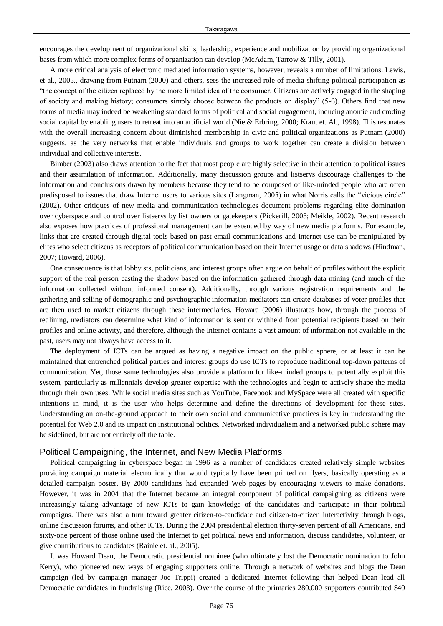encourages the development of organizational skills, leadership, experience and mobilization by providing organizational bases from which more complex forms of organization can develop (McAdam, Tarrow & Tilly, 2001).

A more critical analysis of electronic mediated information systems, however, reveals a number of limitations. Lewis, et al., 2005., drawing from Putnam (2000) and others, sees the increased role of media shifting political participation as ―the concept of the citizen replaced by the more limited idea of the consumer. Citizens are actively engaged in the shaping of society and making history; consumers simply choose between the products on display" (5-6). Others find that new forms of media may indeed be weakening standard forms of political and social engagement, inducing anomie and eroding social capital by enabling users to retreat into an artificial world (Nie & Erbring, 2000; Kraut et. Al., 1998). This resonates with the overall increasing concern about diminished membership in civic and political organizations as Putnam (2000) suggests, as the very networks that enable individuals and groups to work together can create a division between individual and collective interests.

Bimber (2003) also draws attention to the fact that most people are highly selective in their attention to political issues and their assimilation of information. Additionally, many discussion groups and listservs discourage challenges to the information and conclusions drawn by members because they tend to be composed of like-minded people who are often predisposed to issues that draw Internet users to various sites (Langman, 2005) in what Norris calls the "vicious circle" (2002). Other critiques of new media and communication technologies document problems regarding elite domination over cyberspace and control over listservs by list owners or gatekeepers (Pickerill, 2003; Meikle, 2002). Recent research also exposes how practices of professional management can be extended by way of new media platforms. For example, links that are created through digital tools based on past email communications and Internet use can be manipulated by elites who select citizens as receptors of political communication based on their Internet usage or data shadows (Hindman, 2007; Howard, 2006).

One consequence is that lobbyists, politicians, and interest groups often argue on behalf of profiles without the explicit support of the real person casting the shadow based on the information gathered through data mining (and much of the information collected without informed consent). Additionally, through various registration requirements and the gathering and selling of demographic and psychographic information mediators can create databases of voter profiles that are then used to market citizens through these intermediaries. Howard (2006) illustrates how, through the process of redlining, mediators can determine what kind of information is sent or withheld from potential recipients based on their profiles and online activity, and therefore, although the Internet contains a vast amount of information not available in the past, users may not always have access to it.

The deployment of ICTs can be argued as having a negative impact on the public sphere, or at least it can be maintained that entrenched political parties and interest groups do use ICTs to reproduce traditional top-down patterns of communication. Yet, those same technologies also provide a platform for like-minded groups to potentially exploit this system, particularly as millennials develop greater expertise with the technologies and begin to actively shape the media through their own uses. While social media sites such as YouTube, Facebook and MySpace were all created with specific intentions in mind, it is the user who helps determine and define the directions of development for these sites. Understanding an on-the-ground approach to their own social and communicative practices is key in understanding the potential for Web 2.0 and its impact on institutional politics. Networked individualism and a networked public sphere may be sidelined, but are not entirely off the table.

#### Political Campaigning, the Internet, and New Media Platforms

Political campaigning in cyberspace began in 1996 as a number of candidates created relatively simple websites providing campaign material electronically that would typically have been printed on flyers, basically operating as a detailed campaign poster. By 2000 candidates had expanded Web pages by encouraging viewers to make donations. However, it was in 2004 that the Internet became an integral component of political campaigning as citizens were increasingly taking advantage of new ICTs to gain knowledge of the candidates and participate in their political campaigns. There was also a turn toward greater citizen-to-candidate and citizen-to-citizen interactivity through blogs, online discussion forums, and other ICTs. During the 2004 presidential election thirty-seven percent of all Americans, and sixty-one percent of those online used the Internet to get political news and information, discuss candidates, volunteer, or give contributions to candidates (Rainie et. al., 2005).

It was Howard Dean, the Democratic presidential nominee (who ultimately lost the Democratic nomination to John Kerry), who pioneered new ways of engaging supporters online. Through a network of websites and blogs the Dean campaign (led by campaign manager Joe Trippi) created a dedicated Internet following that helped Dean lead all Democratic candidates in fundraising (Rice, 2003). Over the course of the primaries 280,000 supporters contributed \$40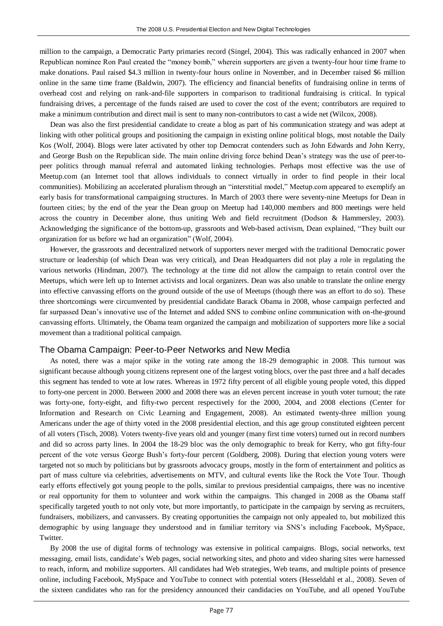million to the campaign, a Democratic Party primaries record (Singel, 2004). This was radically enhanced in 2007 when Republican nominee Ron Paul created the "money bomb," wherein supporters are given a twenty-four hour time frame to make donations. Paul raised \$4.3 million in twenty-four hours online in November, and in December raised \$6 million online in the same time frame (Baldwin, 2007). The efficiency and financial benefits of fundraising online in terms of overhead cost and relying on rank-and-file supporters in comparison to traditional fundraising is critical. In typical fundraising drives, a percentage of the funds raised are used to cover the cost of the event; contributors are required to make a minimum contribution and direct mail is sent to many non-contributors to cast a wide net (Wilcox, 2008).

Dean was also the first presidential candidate to create a blog as part of his communication strategy and was adept at linking with other political groups and positioning the campaign in existing online political blogs, most notable the Daily Kos (Wolf, 2004). Blogs were later activated by other top Democrat contenders such as John Edwards and John Kerry, and George Bush on the Republican side. The main online driving force behind Dean's strategy was the use of peer-topeer politics through manual referral and automated linking technologies. Perhaps most effective was the use of Meetup.com (an Internet tool that allows individuals to connect virtually in order to find people in their local communities). Mobilizing an accelerated pluralism through an "interstitial model," Meetup.com appeared to exemplify an early basis for transformational campaigning structures. In March of 2003 there were seventy-nine Meetups for Dean in fourteen cities; by the end of the year the Dean group on Meetup had 140,000 members and 800 meetings were held across the country in December alone, thus uniting Web and field recruitment (Dodson & Hammersley, 2003). Acknowledging the significance of the bottom-up, grassroots and Web-based activism, Dean explained, "They built our organization for us before we had an organization" (Wolf, 2004).

However, the grassroots and decentralized network of supporters never merged with the traditional Democratic power structure or leadership (of which Dean was very critical), and Dean Headquarters did not play a role in regulating the various networks (Hindman, 2007). The technology at the time did not allow the campaign to retain control over the Meetups, which were left up to Internet activists and local organizers. Dean was also unable to translate the online energy into effective canvassing efforts on the ground outside of the use of Meetups (though there was an effort to do so). These three shortcomings were circumvented by presidential candidate Barack Obama in 2008, whose campaign perfected and far surpassed Dean's innovative use of the Internet and added SNS to combine online communication with on-the-ground canvassing efforts. Ultimately, the Obama team organized the campaign and mobilization of supporters more like a social movement than a traditional political campaign.

#### The Obama Campaign: Peer-to-Peer Networks and New Media

As noted, there was a major spike in the voting rate among the 18-29 demographic in 2008. This turnout was significant because although young citizens represent one of the largest voting blocs, over the past three and a half decades this segment has tended to vote at low rates. Whereas in 1972 fifty percent of all eligible young people voted, this dipped to forty-one percent in 2000. Between 2000 and 2008 there was an eleven percent increase in youth voter turnout; the rate was forty-one, forty-eight, and fifty-two percent respectively for the 2000, 2004, and 2008 elections (Center for Information and Research on Civic Learning and Engagement, 2008). An estimated twenty-three million young Americans under the age of thirty voted in the 2008 presidential election, and this age group constituted eighteen percent of all voters (Tisch, 2008). Voters twenty-five years old and younger (many first time voters) turned out in record numbers and did so across party lines. In 2004 the 18-29 bloc was the only demographic to break for Kerry, who got fifty-four percent of the vote versus George Bush's forty-four percent (Goldberg, 2008). During that election young voters were targeted not so much by politicians but by grassroots advocacy groups, mostly in the form of entertainment and politics as part of mass culture via celebrities, advertisements on MTV, and cultural events like the Rock the Vote Tour. Though early efforts effectively got young people to the polls, similar to previous presidential campaigns, there was no incentive or real opportunity for them to volunteer and work within the campaigns. This changed in 2008 as the Obama staff specifically targeted youth to not only vote, but more importantly, to participate in the campaign by serving as recruiters, fundraisers, mobilizers, and canvassers. By creating opportunities the campaign not only appealed to, but mobilized this demographic by using language they understood and in familiar territory via SNS's including Facebook, MySpace, Twitter.

By 2008 the use of digital forms of technology was extensive in political campaigns. Blogs, social networks, text messaging, email lists, candidate's Web pages, social networking sites, and photo and video sharing sites were harnessed to reach, inform, and mobilize supporters. All candidates had Web strategies, Web teams, and multiple points of presence online, including Facebook, MySpace and YouTube to connect with potential voters (Hesseldahl et al., 2008). Seven of the sixteen candidates who ran for the presidency announced their candidacies on YouTube, and all opened YouTube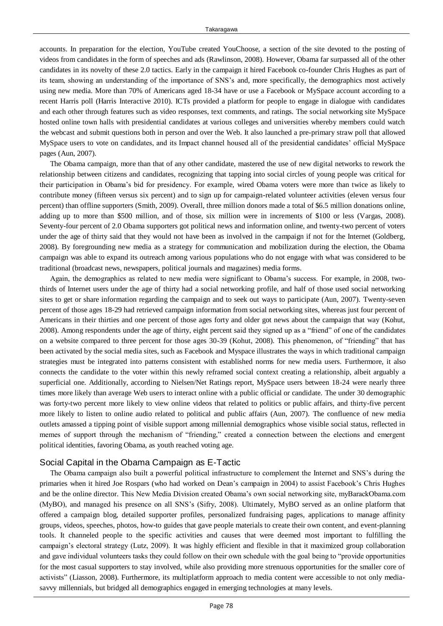accounts. In preparation for the election, YouTube created YouChoose, a section of the site devoted to the posting of videos from candidates in the form of speeches and ads (Rawlinson, 2008). However, Obama far surpassed all of the other candidates in its novelty of these 2.0 tactics. Early in the campaign it hired Facebook co-founder Chris Hughes as part of its team, showing an understanding of the importance of SNS's and, more specifically, the demographics most actively using new media. More than 70% of Americans aged 18-34 have or use a Facebook or MySpace account according to a recent Harris poll (Harris Interactive 2010). ICTs provided a platform for people to engage in dialogue with candidates and each other through features such as video responses, text comments, and ratings. The social networking site MySpace hosted online town halls with presidential candidates at various colleges and universities whereby members could watch the webcast and submit questions both in person and over the Web. It also launched a pre-primary straw poll that allowed MySpace users to vote on candidates, and its Impact channel housed all of the presidential candidates' official MySpace pages (Aun, 2007).

The Obama campaign, more than that of any other candidate, mastered the use of new digital networks to rework the relationship between citizens and candidates, recognizing that tapping into social circles of young people was critical for their participation in Obama's bid for presidency. For example, wired Obama voters were more than twice as likely to contribute money (fifteen versus six percent) and to sign up for campaign-related volunteer activities (eleven versus four percent) than offline supporters (Smith, 2009). Overall, three million donors made a total of \$6.5 million donations online, adding up to more than \$500 million, and of those, six million were in increments of \$100 or less (Vargas, 2008). Seventy-four percent of 2.0 Obama supporters got political news and information online, and twenty-two percent of voters under the age of thirty said that they would not have been as involved in the campaign if not for the Internet (Goldberg, 2008). By foregrounding new media as a strategy for communication and mobilization during the election, the Obama campaign was able to expand its outreach among various populations who do not engage with what was considered to be traditional (broadcast news, newspapers, political journals and magazines) media forms.

Again, the demographics as related to new media were significant to Obama's success. For example, in 2008, twothirds of Internet users under the age of thirty had a social networking profile, and half of those used social networking sites to get or share information regarding the campaign and to seek out ways to participate (Aun, 2007). Twenty-seven percent of those ages 18-29 had retrieved campaign information from social networking sites, whereas just four percent of Americans in their thirties and one percent of those ages forty and older got news about the campaign that way (Kohut, 2008). Among respondents under the age of thirty, eight percent said they signed up as a "friend" of one of the candidates on a website compared to three percent for those ages 30-39 (Kohut, 2008). This phenomenon, of "friending" that has been activated by the social media sites, such as Facebook and Myspace illustrates the ways in which traditional campaign strategies must be integrated into patterns consistent with established norms for new media users. Furthermore, it also connects the candidate to the voter within this newly reframed social context creating a relationship, albeit arguably a superficial one. Additionally, according to Nielsen/Net Ratings report, MySpace users between 18-24 were nearly three times more likely than average Web users to interact online with a public official or candidate. The under 30 demographic was forty-two percent more likely to view online videos that related to politics or public affairs, and thirty-five percent more likely to listen to online audio related to political and public affairs (Aun, 2007). The confluence of new media outlets amassed a tipping point of visible support among millennial demographics whose visible social status, reflected in memes of support through the mechanism of "friending," created a connection between the elections and emergent political identities, favoring Obama, as youth reached voting age.

#### Social Capital in the Obama Campaign as E-Tactic

The Obama campaign also built a powerful political infrastructure to complement the Internet and SNS's during the primaries when it hired Joe Rospars (who had worked on Dean's campaign in 2004) to assist Facebook's Chris Hughes and be the online director. This New Media Division created Obama's own social networking site, myBarackObama.com (MyBO), and managed his presence on all SNS's (Sifry, 2008). Ultimately, MyBO served as an online platform that offered a campaign blog, detailed supporter profiles, personalized fundraising pages, applications to manage affinity groups, videos, speeches, photos, how-to guides that gave people materials to create their own content, and event-planning tools. It channeled people to the specific activities and causes that were deemed most important to fulfilling the campaign's electoral strategy (Lutz, 2009). It was highly efficient and flexible in that it maximized group collaboration and gave individual volunteers tasks they could follow on their own schedule with the goal being to "provide opportunities" for the most casual supporters to stay involved, while also providing more strenuous opportunities for the smaller core of activists" (Liasson, 2008). Furthermore, its multiplatform approach to media content were accessible to not only mediasavvy millennials, but bridged all demographics engaged in emerging technologies at many levels.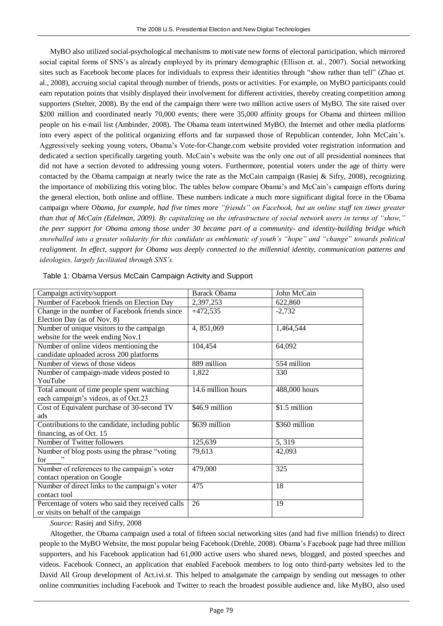MyBO also utilized social-psychological mechanisms to motivate new forms of electoral participation, which mirrored social capital forms of SNS's as already employed by its primary demographic (Ellison et. al., 2007). Social networking sites such as Facebook become places for individuals to express their identities through "show rather than tell" (Zhao et. al., 2008), accruing social capital through number of friends, posts or activities. For example, on MyBO participants could earn reputation points that visibly displayed their involvement for different activities, thereby creating competition among supporters (Stelter, 2008). By the end of the campaign there were two million active users of MyBO. The site raised over \$200 million and coordinated nearly 70,000 events; there were 35,000 affinity groups for Obama and thirteen million people on his e-mail list (Ambinder, 2008). The Obama team intertwined MyBO, the Internet and other media platforms into every aspect of the political organizing efforts and far surpassed those of Republican contender, John McCain's. Aggressively seeking young voters, Obama's Vote-for-Change.com website provided voter registration information and dedicated a section specifically targeting youth. McCain's website was the only one out of all presidential nominees that did not have a section devoted to addressing young voters. Furthermore, potential voters under the age of thirty were contacted by the Obama campaign at nearly twice the rate as the McCain campaign (Rasiej & Sifry, 2008), recognizing the importance of mobilizing this voting bloc. The tables below compare Obama's and McCain's campaign efforts during the general election, both online and offline. These numbers indicate a much more significant digital force in the Obama campaign where *Obama, for example, had five times more "friends" on Facebook, but an online staff ten times greater than that of McCain (Edelman, 2009). By capitalizing on the infrastructure of social network users in terms of "show," the peer support for Obama among those under 30 became part of a community- and identity-building bridge which snowballed into a greater solidarity for this candidate as emblematic of youth"s "hope" and "change" towards political realignment. In effect, support for Obama was deeply connected to the millennial identity, communication patterns and ideologies, largely facilitated through SNS"s.*

| Campaign activity/support                         | <b>Barack Obama</b> | John McCain   |
|---------------------------------------------------|---------------------|---------------|
| Number of Facebook friends on Election Day        | 2,397,253           | 622,860       |
| Change in the number of Facebook friends since    | $+472,535$          | $-2,732$      |
| Election Day (as of Nov. 8)                       |                     |               |
| Number of unique visitors to the campaign         | 4, 851,069          | 1,464,544     |
| website for the week ending Nov.1                 |                     |               |
| Number of online videos mentioning the            | 104,454             | 64,092        |
| candidate uploaded across 200 platforms           |                     |               |
| Number of views of those videos                   | 889 million         | 554 million   |
| Number of campaign-made videos posted to          | 1,822               | 330           |
| YouTube                                           |                     |               |
| Total amount of time people spent watching        | 14.6 million hours  | 488,000 hours |
| each campaign's videos, as of Oct.23              |                     |               |
| Cost of Equivalent purchase of 30-second TV       | \$46.9 million      | \$1.5 million |
| ads                                               |                     |               |
| Contributions to the candidate, including public  | \$639 million       | \$360 million |
| financing, as of Oct. 15                          |                     |               |
| Number of Twitter followers                       | 125,639             | 5, 319        |
| Number of blog posts using the phrase "voting     | 79,613              | 42,093        |
| for                                               |                     |               |
| Number of references to the campaign's voter      | 479,000             | 325           |
| contact operation on Google                       |                     |               |
| Number of direct links to the campaign's voter    | 475                 | 18            |
| contact tool                                      |                     |               |
| Percentage of voters who said they received calls | 26                  | 19            |
| or visits on behalf of the campaign               |                     |               |

*Source:* Rasiej and Sifry, 2008

Altogether, the Obama campaign used a total of fifteen social networking sites (and had five million friends) to direct people to the MyBO Website, the most popular being Facebook (Drehle, 2008). Obama's Facebook page had three million supporters, and his Facebook application had 61,000 active users who shared news, blogged, and posted speeches and videos. Facebook Connect, an application that enabled Facebook members to log onto third-party websites led to the David All Group development of Act.ivi.st. This helped to amalgamate the campaign by sending out messages to other online communities including Facebook and Twitter to reach the broadest possible audience and, like MyBO, also used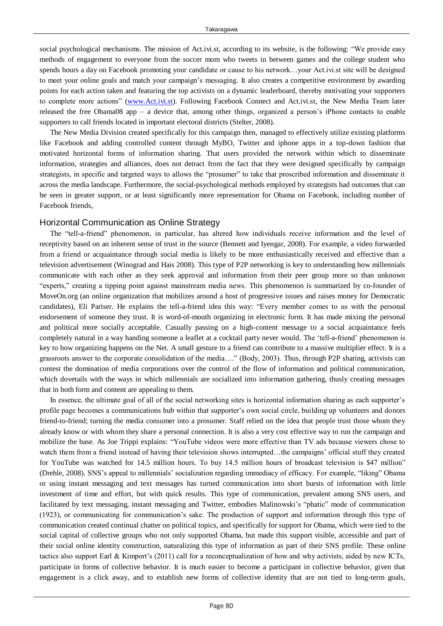social psychological mechanisms. The mission of Act.ivi.st, according to its website, is the following: "We provide easy methods of engagement to everyone from the soccer mom who tweets in between games and the college student who spends hours a day on Facebook promoting your candidate or cause to his network...your Act.ivi.st site will be designed to meet your online goals and match your campaign's messaging. It also creates a competitive environment by awarding points for each action taken and featuring the top activists on a dynamic leaderboard, thereby motivating your supporters to complete more actions" [\(www.Act.ivi.st\)](http://www.act.ivi.st/). Following Facebook Connect and Act.ivi.st, the New Media Team later released the free Obama08 app – a device that, among other things, organized a person's iPhone contacts to enable supporters to call friends located in important electoral districts (Stelter, 2008).

The New Media Division created specifically for this campaign then, managed to effectively utilize existing platforms like Facebook and adding controlled content through MyBO, Twitter and iphone apps in a top-down fashion that motivated horizontal forms of information sharing. That users provided the network within which to disseminate information, strategies and alliances, does not detract from the fact that they were designed specifically by campaign strategists, in specific and targeted ways to allows the "prosumer" to take that proscribed information and disseminate it across the media landscape. Furthermore, the social-psychological methods employed by strategists had outcomes that can be seen in greater support, or at least significantly more representation for Obama on Facebook, including number of Facebook friends,

#### Horizontal Communication as Online Strategy

The "tell-a-friend" phenomenon, in particular, has altered how individuals receive information and the level of receptivity based on an inherent sense of trust in the source (Bennett and Iyengar, 2008). For example, a video forwarded from a friend or acquaintance through social media is likely to be more enthusiastically received and effective than a television advertisement (Winograd and Hais 2008). This type of P2P networking is key to understanding how millennials communicate with each other as they seek approval and information from their peer group more so than unknown ―experts,‖ creating a tipping point against mainstream media news. This phenomenon is summarized by co-founder of MoveOn.org (an online organization that mobilizes around a host of progressive issues and raises money for Democratic candidates), Eli Pariser. He explains the tell-a-friend idea this way: "Every member comes to us with the personal endorsement of someone they trust. It is word-of-mouth organizing in electronic form. It has made mixing the personal and political more socially acceptable. Casually passing on a high-content message to a social acquaintance feels completely natural in a way handing someone a leaflet at a cocktail party never would. The 'tell-a-friend' phenomenon is key to how organizing happens on the Net. A small gesture to a friend can contribute to a massive multiplier effect. It is a grassroots answer to the corporate consolidation of the media...." (Body, 2003). Thus, through P2P sharing, activists can contest the domination of media corporations over the control of the flow of information and political communication, which dovetails with the ways in which millennials are socialized into information gathering, thusly creating messages that in both form and content are appealing to them.

In essence, the ultimate goal of all of the social networking sites is horizontal information sharing as each supporter's profile page becomes a communications hub within that supporter's own social circle, building up volunteers and donors friend-to-friend; turning the media consumer into a prosumer. Staff relied on the idea that people trust those whom they already know or with whom they share a personal connection. It is also a very cost effective way to run the campaign and mobilize the base. As Joe Trippi explains: "YouTube videos were more effective than TV ads because viewers chose to watch them from a friend instead of having their television shows interrupted…the campaigns' official stuff they created for YouTube was watched for 14.5 million hours. To buy 14.5 million hours of broadcast television is \$47 million" (Drehle, 2008). SNS's appeal to millennials' socialization regarding immediacy of efficacy. For example, "liking" Obama or using instant messaging and text messages has turned communication into short bursts of information with little investment of time and effort, but with quick results. This type of communication, prevalent among SNS users, and facilitated by text messaging, instant messaging and Twitter, embodies Malinowski's "phatic" mode of communication (1923), or communicating for communication's sake. The production of support and information through this type of communication created continual chatter on political topics, and specifically for support for Obama, which were tied to the social capital of collective groups who not only supported Obama, but made this support visible, accessible and part of their social online identity construction, naturalizing this type of information as part of their SNS profile. These online tactics also support Earl & Kimport's (2011) call for a reconceptualization of how and why activists, aided by new ICTs, participate in forms of collective behavior. It is much easier to become a participant in collective behavior, given that engagement is a click away, and to establish new forms of collective identity that are not tied to long-term goals,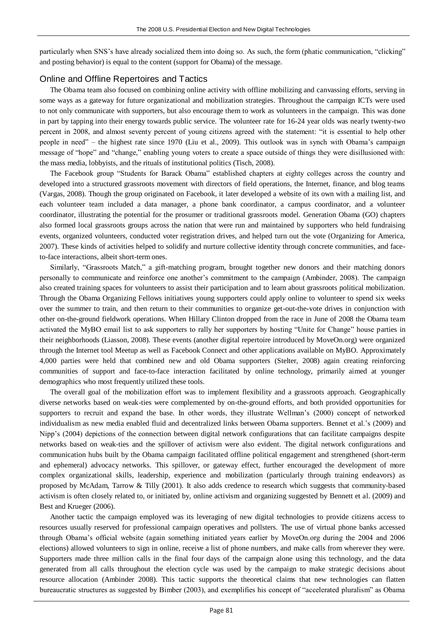particularly when SNS's have already socialized them into doing so. As such, the form (phatic communication, "clicking" and posting behavior) is equal to the content (support for Obama) of the message.

#### Online and Offline Repertoires and Tactics

The Obama team also focused on combining online activity with offline mobilizing and canvassing efforts, serving in some ways as a gateway for future organizational and mobilization strategies. Throughout the campaign ICTs were used to not only communicate with supporters, but also encourage them to work as volunteers in the campaign. This was done in part by tapping into their energy towards public service. The volunteer rate for 16-24 year olds was nearly twenty-two percent in 2008, and almost seventy percent of young citizens agreed with the statement: "it is essential to help other people in need" – the highest rate since 1970 (Liu et al., 2009). This outlook was in synch with Obama's campaign message of "hope" and "change," enabling young voters to create a space outside of things they were disillusioned with: the mass media, lobbyists, and the rituals of institutional politics (Tisch, 2008).

The Facebook group "Students for Barack Obama" established chapters at eighty colleges across the country and developed into a structured grassroots movement with directors of field operations, the Internet, finance, and blog teams (Vargas, 2008). Though the group originated on Facebook, it later developed a website of its own with a mailing list, and each volunteer team included a data manager, a phone bank coordinator, a campus coordinator, and a volunteer coordinator, illustrating the potential for the prosumer or traditional grassroots model. Generation Obama (GO) chapters also formed local grassroots groups across the nation that were run and maintained by supporters who held fundraising events, organized volunteers, conducted voter registration drives, and helped turn out the vote (Organizing for America, 2007). These kinds of activities helped to solidify and nurture collective identity through concrete communities, and faceto-face interactions, albeit short-term ones.

Similarly, "Grassroots Match," a gift-matching program, brought together new donors and their matching donors personally to communicate and reinforce one another's commitment to the campaign (Ambinder, 2008). The campaign also created training spaces for volunteers to assist their participation and to learn about grassroots political mobilization. Through the Obama Organizing Fellows initiatives young supporters could apply online to volunteer to spend six weeks over the summer to train, and then return to their communities to organize get-out-the-vote drives in conjunction with other on-the-ground fieldwork operations. When Hillary Clinton dropped from the race in June of 2008 the Obama team activated the MyBO email list to ask supporters to rally her supporters by hosting "Unite for Change" house parties in their neighborhoods (Liasson, 2008). These events (another digital repertoire introduced by MoveOn.org) were organized through the Internet tool Meetup as well as Facebook Connect and other applications available on MyBO. Approximately 4,000 parties were held that combined new and old Obama supporters (Stelter, 2008) again creating reinforcing communities of support and face-to-face interaction facilitated by online technology, primarily aimed at younger demographics who most frequently utilized these tools.

The overall goal of the mobilization effort was to implement flexibility and a grassroots approach. Geographically diverse networks based on weak-ties were complemented by on-the-ground efforts, and both provided opportunities for supporters to recruit and expand the base. In other words, they illustrate Wellman's (2000) concept of networked individualism as new media enabled fluid and decentralized links between Obama supporters. Bennet et al.'s (2009) and Nipp's (2004) depictions of the connection between digital network configurations that can facilitate campaigns despite networks based on weak-ties and the spillover of activism were also evident. The digital network configurations and communication hubs built by the Obama campaign facilitated offline political engagement and strengthened (short-term and ephemeral) advocacy networks. This spillover, or gateway effect, further encouraged the development of more complex organizational skills, leadership, experience and mobilization (particularly through training endeavors) as proposed by McAdam, Tarrow & Tilly (2001). It also adds credence to research which suggests that community-based activism is often closely related to, or initiated by, online activism and organizing suggested by Bennett et al. (2009) and Best and Krueger (2006).

Another tactic the campaign employed was its leveraging of new digital technologies to provide citizens access to resources usually reserved for professional campaign operatives and pollsters. The use of virtual phone banks accessed through Obama's official website (again something initiated years earlier by MoveOn.org during the 2004 and 2006 elections) allowed volunteers to sign in online, receive a list of phone numbers, and make calls from wherever they were. Supporters made three million calls in the final four days of the campaign alone using this technology, and the data generated from all calls throughout the election cycle was used by the campaign to make strategic decisions about resource allocation (Ambinder 2008). This tactic supports the theoretical claims that new technologies can flatten bureaucratic structures as suggested by Bimber (2003), and exemplifies his concept of "accelerated pluralism" as Obama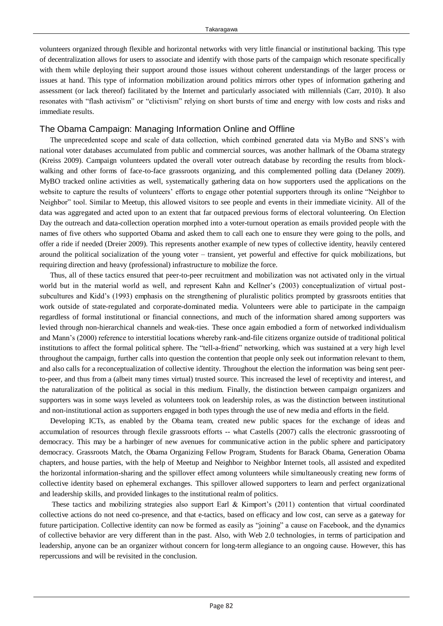volunteers organized through flexible and horizontal networks with very little financial or institutional backing. This type of decentralization allows for users to associate and identify with those parts of the campaign which resonate specifically with them while deploying their support around those issues without coherent understandings of the larger process or issues at hand. This type of information mobilization around politics mirrors other types of information gathering and assessment (or lack thereof) facilitated by the Internet and particularly associated with millennials (Carr, 2010). It also resonates with "flash activism" or "clictivism" relying on short bursts of time and energy with low costs and risks and immediate results.

#### The Obama Campaign: Managing Information Online and Offline

The unprecedented scope and scale of data collection, which combined generated data via MyBo and SNS's with national voter databases accumulated from public and commercial sources, was another hallmark of the Obama strategy (Kreiss 2009). Campaign volunteers updated the overall voter outreach database by recording the results from blockwalking and other forms of face-to-face grassroots organizing, and this complemented polling data (Delaney 2009). MyBO tracked online activities as well, systematically gathering data on how supporters used the applications on the website to capture the results of volunteers' efforts to engage other potential supporters through its online "Neighbor to Neighbor" tool. Similar to Meetup, this allowed visitors to see people and events in their immediate vicinity. All of the data was aggregated and acted upon to an extent that far outpaced previous forms of electoral volunteering. On Election Day the outreach and data-collection operation morphed into a voter-turnout operation as emails provided people with the names of five others who supported Obama and asked them to call each one to ensure they were going to the polls, and offer a ride if needed (Dreier 2009). This represents another example of new types of collective identity, heavily centered around the political socialization of the young voter – transient, yet powerful and effective for quick mobilizations, but requiring direction and heavy (professional) infrastructure to mobilize the force.

Thus, all of these tactics ensured that peer-to-peer recruitment and mobilization was not activated only in the virtual world but in the material world as well, and represent Kahn and Kellner's (2003) conceptualization of virtual postsubcultures and Kidd's (1993) emphasis on the strengthening of pluralistic politics prompted by grassroots entities that work outside of state-regulated and corporate-dominated media. Volunteers were able to participate in the campaign regardless of formal institutional or financial connections, and much of the information shared among supporters was levied through non-hierarchical channels and weak-ties. These once again embodied a form of networked individualism and Mann's (2000) reference to interstitial locations whereby rank-and-file citizens organize outside of traditional political institutions to affect the formal political sphere. The "tell-a-friend" networking, which was sustained at a very high level throughout the campaign, further calls into question the contention that people only seek out information relevant to them, and also calls for a reconceptualization of collective identity. Throughout the election the information was being sent peerto-peer, and thus from a (albeit many times virtual) trusted source. This increased the level of receptivity and interest, and the naturalization of the political as social in this medium. Finally, the distinction between campaign organizers and supporters was in some ways leveled as volunteers took on leadership roles, as was the distinction between institutional and non-institutional action as supporters engaged in both types through the use of new media and efforts in the field.

Developing ICTs, as enabled by the Obama team, created new public spaces for the exchange of ideas and accumulation of resources through flexile grassroots efforts -- what Castells (2007) calls the electronic grassrooting of democracy. This may be a harbinger of new avenues for communicative action in the public sphere and participatory democracy. Grassroots Match, the Obama Organizing Fellow Program, Students for Barack Obama, Generation Obama chapters, and house parties, with the help of Meetup and Neighbor to Neighbor Internet tools, all assisted and expedited the horizontal information-sharing and the spillover effect among volunteers while simultaneously creating new forms of collective identity based on ephemeral exchanges. This spillover allowed supporters to learn and perfect organizational and leadership skills, and provided linkages to the institutional realm of politics.

These tactics and mobilizing strategies also support Earl & Kimport's (2011) contention that virtual coordinated collective actions do not need co-presence, and that e-tactics, based on efficacy and low cost, can serve as a gateway for future participation. Collective identity can now be formed as easily as "joining" a cause on Facebook, and the dynamics of collective behavior are very different than in the past. Also, with Web 2.0 technologies, in terms of participation and leadership, anyone can be an organizer without concern for long-term allegiance to an ongoing cause. However, this has repercussions and will be revisited in the conclusion.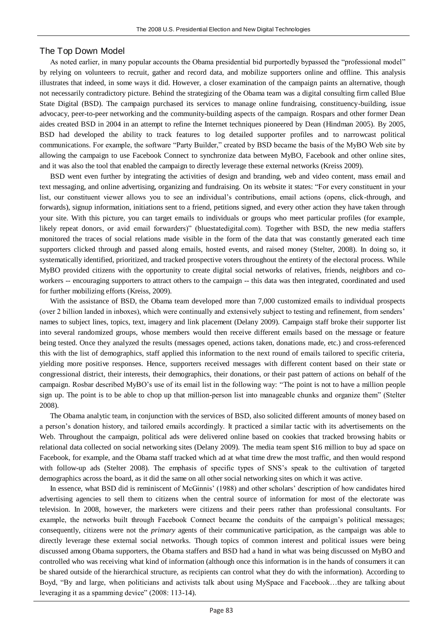#### The Top Down Model

As noted earlier, in many popular accounts the Obama presidential bid purportedly bypassed the "professional model" by relying on volunteers to recruit, gather and record data, and mobilize supporters online and offline. This analysis illustrates that indeed, in some ways it did. However, a closer examination of the campaign paints an alternative, though not necessarily contradictory picture. Behind the strategizing of the Obama team was a digital consulting firm called Blue State Digital (BSD). The campaign purchased its services to manage online fundraising, constituency-building, issue advocacy, peer-to-peer networking and the community-building aspects of the campaign. Rospars and other former Dean aides created BSD in 2004 in an attempt to refine the Internet techniques pioneered by Dean (Hindman 2005). By 2005, BSD had developed the ability to track features to log detailed supporter profiles and to narrowcast political communications. For example, the software "Party Builder," created by BSD became the basis of the MyBO Web site by allowing the campaign to use Facebook Connect to synchronize data between MyBO, Facebook and other online sites, and it was also the tool that enabled the campaign to directly leverage these external networks (Kreiss 2009).

BSD went even further by integrating the activities of design and branding, web and video content, mass email and text messaging, and online advertising, organizing and fundraising. On its website it states: "For every constituent in your list, our constituent viewer allows you to see an individual's contributions, email actions (opens, click-through, and forwards), signup information, initiations sent to a friend, petitions signed, and every other action they have taken through your site. With this picture, you can target emails to individuals or groups who meet particular profiles (for example, likely repeat donors, or avid email forwarders)" (bluestatedigital.com). Together with BSD, the new media staffers monitored the traces of social relations made visible in the form of the data that was constantly generated each time supporters clicked through and passed along emails, hosted events, and raised money (Stelter, 2008). In doing so, it systematically identified, prioritized, and tracked prospective voters throughout the entirety of the electoral process. While MyBO provided citizens with the opportunity to create digital social networks of relatives, friends, neighbors and coworkers -- encouraging supporters to attract others to the campaign -- this data was then integrated, coordinated and used for further mobilizing efforts (Kreiss, 2009).

With the assistance of BSD, the Obama team developed more than 7,000 customized emails to individual prospects (over 2 billion landed in inboxes), which were continually and extensively subject to testing and refinement, from senders' names to subject lines, topics, text, imagery and link placement (Delany 2009). Campaign staff broke their supporter list into several randomized groups, whose members would then receive different emails based on the message or feature being tested. Once they analyzed the results (messages opened, actions taken, donations made, etc.) and cross-referenced this with the list of demographics, staff applied this information to the next round of emails tailored to specific criteria, yielding more positive responses. Hence, supporters received messages with different content based on their state or congressional district, their interests, their demographics, their donations, or their past pattern of actions on behalf of the campaign. Rosbar described MyBO's use of its email list in the following way: "The point is not to have a million people sign up. The point is to be able to chop up that million-person list into manageable chunks and organize them" (Stelter 2008).

The Obama analytic team, in conjunction with the services of BSD, also solicited different amounts of money based on a person's donation history, and tailored emails accordingly. It practiced a similar tactic with its advertisements on the Web. Throughout the campaign, political ads were delivered online based on cookies that tracked browsing habits or relational data collected on social networking sites (Delany 2009). The media team spent \$16 million to buy ad space on Facebook, for example, and the Obama staff tracked which ad at what time drew the most traffic, and then would respond with follow-up ads (Stelter 2008). The emphasis of specific types of SNS's speak to the cultivation of targeted demographics across the board, as it did the same on all other social networking sites on which it was active.

In essence, what BSD did is reminiscent of McGinnis' (1988) and other scholars' description of how candidates hired advertising agencies to sell them to citizens when the central source of information for most of the electorate was television. In 2008, however, the marketers were citizens and their peers rather than professional consultants. For example, the networks built through Facebook Connect became the conduits of the campaign's political messages; consequently, citizens were not the *primary* agents of their communicative participation, as the campaign was able to directly leverage these external social networks. Though topics of common interest and political issues were being discussed among Obama supporters, the Obama staffers and BSD had a hand in what was being discussed on MyBO and controlled who was receiving what kind of information (although once this information is in the hands of consumers it can be shared outside of the hierarchical structure, as recipients can control what they do with the information). According to Boyd, "By and large, when politicians and activists talk about using MySpace and Facebook...they are talking about leveraging it as a spamming device" (2008: 113-14).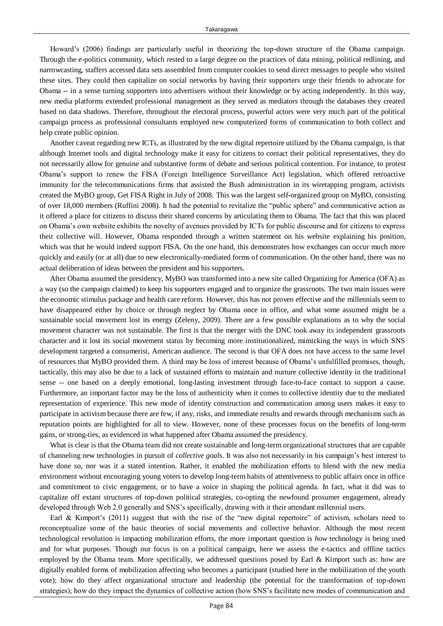Howard's (2006) findings are particularly useful in theorizing the top-down structure of the Obama campaign. Through the e-politics community, which rested to a large degree on the practices of data mining, political redlining, and narrowcasting, staffers accessed data sets assembled from computer cookies to send direct messages to people who visited these sites. They could then capitalize on social networks by having their supporters urge their friends to advocate for Obama -- in a sense turning supporters into advertisers without their knowledge or by acting independently. In this way, new media platforms extended professional management as they served as mediators through the databases they created based on data shadows. Therefore, throughout the electoral process, powerful actors were very much part of the political campaign process as professional consultants employed new computerized forms of communication to both collect and help create public opinion.

Another caveat regarding new ICTs, as illustrated by the new digital repertoire utilized by the Obama campaign, is that although Internet tools and digital technology make it easy for citizens to contact their political representatives, they do not necessarily allow for genuine and substantive forms of debate and serious political contention. For instance, to protest Obama's support to renew the FISA (Foreign Intelligence Surveillance Act) legislation, which offered retroactive immunity for the telecommunications firms that assisted the Bush administration in its wiretapping program, activists created the MyBO group, Get FISA Right in July of 2008. This was the largest self-organized group on MyBO, consisting of over 18,000 members (Ruffini 2008). It had the potential to revitalize the "public sphere" and communicative action as it offered a place for citizens to discuss their shared concerns by articulating them to Obama. The fact that this was placed on Obama's own website exhibits the novelty of avenues provided by ICTs for public discourse and for citizens to express their collective will. However, Obama responded through a written statement on his website explaining his position, which was that he would indeed support FISA. On the one hand, this demonstrates how exchanges can occur much more quickly and easily (or at all) due to new electronically-mediated forms of communication. On the other hand, there was no actual deliberation of ideas between the president and his supporters.

After Obama assumed the presidency, MyBO was transformed into a new site called Organizing for America (OFA) as a way (so the campaign claimed) to keep his supporters engaged and to organize the grassroots. The two main issues were the economic stimulus package and health care reform. However, this has not proven effective and the millennials seem to have disappeared either by choice or through neglect by Obama once in office, and what some assumed might be a sustainable social movement lost its energy (Zeleny, 2009). There are a few possible explanations as to why the social movement character was not sustainable. The first is that the merger with the DNC took away its independent grassroots character and it lost its social movement status by becoming more institutionalized, mimicking the ways in which SNS development targeted a consumerist, American audience. The second is that OFA does not have access to the same level of resources that MyBO provided them. A third may be loss of interest because of Obama's unfulfilled promises, though, tactically, this may also be due to a lack of sustained efforts to maintain and nurture collective identity in the traditional sense -- one based on a deeply emotional, long-lasting investment through face-to-face contact to support a cause. Furthermore, an important factor may be the loss of authenticity when it comes to collective identity due to the mediated representation of experience. This new mode of identity construction and communication among users makes it easy to participate in activism because there are few, if any, risks, and immediate results and rewards through mechanisms such as reputation points are highlighted for all to view. However, none of these processes focus on the benefits of long-term gains, or strong-ties, as evidenced in what happened after Obama assumed the presidency.

What is clear is that the Obama team did not create sustainable and long-term organizational structures that are capable of channeling new technologies in pursuit of *collective goals*. It was also not necessarily in his campaign's best interest to have done so, nor was it a stated intention. Rather, it enabled the mobilization efforts to blend with the new media environment without encouraging young voters to develop long-term habits of attentiveness to public affairs once in office and commitment to civic engagement, or to have a voice in shaping the political agenda. In fact, what it did was to capitalize off extant structures of top-down political strategies, co-opting the newfound prosumer engagement, already developed through Web 2.0 generally and SNS's specifically, drawing with it their attendant millennial users.

Earl & Kimport's  $(2011)$  suggest that with the rise of the "new digital repertoire" of activism, scholars need to reconceptualize some of the basic theories of social movements and collective behavior. Although the most recent technological revolution is impacting mobilization efforts, the more important question is *how* technology is being used and for what purposes. Though our focus is on a political campaign, here we assess the e-tactics and offline tactics employed by the Obama team. More specifically, we addressed questions posed by Earl & Kimport such as: how are digitally enabled forms of mobilization affecting who becomes a participant (studied here in the mobilization of the youth vote); how do they affect organizational structure and leadership (the potential for the transformation of top-down strategies); how do they impact the dynamics of collective action (how SNS's facilitate new modes of communication and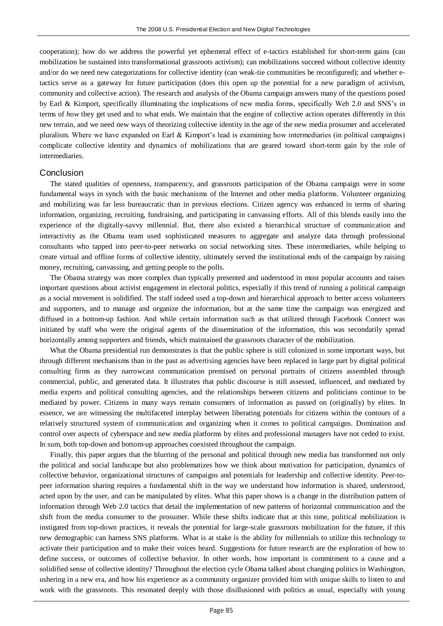cooperation); how do we address the powerful yet ephemeral effect of e-tactics established for short-term gains (can mobilization be sustained into transformational grassroots activism); can mobilizations succeed without collective identity and/or do we need new categorizations for collective identity (can weak-tie communities be reconfigured); and whether etactics serve as a gateway for future participation (does this open up the potential for a new paradigm of activism, community and collective action). The research and analysis of the Obama campaign answers many of the questions posed by Earl & Kimport, specifically illuminating the implications of new media forms, specifically Web 2.0 and SNS's in terms of *how* they get used and to what ends. We maintain that the engine of collective action operates differently in this new terrain, and we need new ways of theorizing collective identity in the age of the new media prosumer and accelerated pluralism. Where we have expanded on Earl & Kimport's lead is examining how intermediaries (in political campaigns) complicate collective identity and dynamics of mobilizations that are geared toward short-term gain by the role of intermediaries.

#### Conclusion

The stated qualities of openness, transparency, and grassroots participation of the Obama campaign were in some fundamental ways in synch with the basic mechanisms of the Internet and other media platforms. Volunteer organizing and mobilizing was far less bureaucratic than in previous elections. Citizen agency was enhanced in terms of sharing information, organizing, recruiting, fundraising, and participating in canvassing efforts. All of this blends easily into the experience of the digitally-savvy millennial. But, there also existed a hierarchical structure of communication and interactivity as the Obama team used sophisticated measures to aggregate and analyze data through professional consultants who tapped into peer-to-peer networks on social networking sites. These intermediaries, while helping to create virtual and offline forms of collective identity, ultimately served the institutional ends of the campaign by raising money, recruiting, canvassing, and getting people to the polls.

The Obama strategy was more complex than typically presented and understood in most popular accounts and raises important questions about activist engagement in electoral politics, especially if this trend of running a political campaign as a social movement is solidified. The staff indeed used a top-down and hierarchical approach to better access volunteers and supporters, and to manage and organize the information, but at the same time the campaign was energized and diffused in a bottom-up fashion. And while certain information such as that utilized through Facebook Connect was initiated by staff who were the original agents of the dissemination of the information, this was secondarily spread horizontally among supporters and friends, which maintained the grassroots character of the mobilization.

What the Obama presidential run demonstrates is that the public sphere is still colonized in some important ways, but through different mechanisms than in the past as advertising agencies have been replaced in large part by digital political consulting firms as they narrowcast communication premised on personal portraits of citizens assembled through commercial, public, and generated data. It illustrates that public discourse is still assessed, influenced, and mediated by media experts and political consulting agencies, and the relationships between citizens and politicians continue to be mediated by power. Citizens in many ways remain consumers of information as passed on (originally) by elites. In essence, we are witnessing the multifaceted interplay between liberating potentials for citizens within the contours of a relatively structured system of communication and organizing when it comes to political campaigns. Domination and control over aspects of cyberspace and new media platforms by elites and professional managers have not ceded to exist. In sum, both top-down and bottom-up approaches coexisted throughout the campaign.

Finally, this paper argues that the blurring of the personal and political through new media has transformed not only the political and social landscape but also problematizes how we think about motivation for participation, dynamics of collective behavior, organizational structures of campaigns and potentials for leadership and collective identity. Peer-topeer information sharing requires a fundamental shift in the way we understand how information is shared, understood, acted upon by the user, and can be manipulated by elites. What this paper shows is a change in the distribution pattern of information through Web 2.0 tactics that detail the implementation of new patterns of horizontal communication and the shift from the media consumer to the prosumer. While these shifts indicate that at this time, political mobilization is instigated from top-down practices, it reveals the potential for large-scale grassroots mobilization for the future, if this new demographic can harness SNS platforms. What is at stake is the ability for millennials to utilize this technology to activate their participation and to make their voices heard. Suggestions for future research are the exploration of how to define success, or outcomes of collective behavior. In other words, how important is commitment to a cause and a solidified sense of collective identity? Throughout the election cycle Obama talked about changing politics in Washington, ushering in a new era, and how his experience as a community organizer provided him with unique skills to listen to and work with the grassroots. This resonated deeply with those disillusioned with politics as usual, especially with young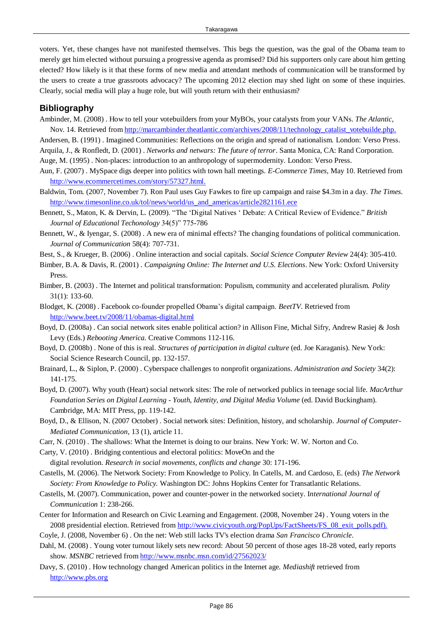voters. Yet, these changes have not manifested themselves. This begs the question, was the goal of the Obama team to merely get him elected without pursuing a progressive agenda as promised? Did his supporters only care about him getting elected? How likely is it that these forms of new media and attendant methods of communication will be transformed by the users to create a true grassroots advocacy? The upcoming 2012 election may shed light on some of these inquiries. Clearly, social media will play a huge role, but will youth return with their enthusiasm?

### **Bibliography**

Ambinder, M. (2008) . How to tell your votebuilders from your MyBOs, your catalysts from your VANs. *The Atlantic,*  Nov. 14. Retrieved from [http://marcambinder.theatlantic.com/archives/2008/11/technology\\_catalist\\_votebuilde.php.](http://marcambinder.theatlantic.com/archives/2008/11/technology_catalist_votebuilde.php)

Andersen, B. (1991) . Imagined Communities: Reflections on the origin and spread of nationalism. London: Verso Press. Arquila, J., & Ronfledt, D. (2001) . *Networks and netwars: The future of terror*. Santa Monica, CA: Rand Corporation. Auge, M. (1995) . Non-places: introduction to an anthropology of supermodernity. London: Verso Press.

- Aun, F. (2007) . MySpace digs deeper into politics with town hall meetings. *E-Commerce Times,* May 10. Retrieved from [http://www.ecommercetimes.com/story/57327.html.](http://www.ecommercetimes.com/story/57327.html)
- Baldwin, Tom. (2007, November 7). Ron Paul uses Guy Fawkes to fire up campaign and raise \$4.3m in a day. *The Times.* [http://www.timesonline.co.uk/tol/news/world/us\\_and\\_americas/article2821161.ece](http://www.timesonline.co.uk/tol/news/world/us_and_americas/article2821161.ece)
- Bennett, S., Maton, K. & Dervin, L. (2009). "The 'Digital Natives ' Debate: A Critical Review of Evidence." *British* Journal of Educational Techonology 34(5)" 775-786
- Bennett, W., & Iyengar, S. (2008) . A new era of minimal effects? The changing foundations of political communication. *Journal of Communication* 58(4): 707-731.
- Best, S., & Krueger, B. (2006) . Online interaction and social capitals. *Social Science Computer Review* 24(4): 305-410.
- Bimber, B.A. & Davis, R. (2001) . *Campaigning Online: The Internet and U.S. Elections*. New York: Oxford University Press.
- Bimber, B. (2003) . The Internet and political transformation: Populism, community and accelerated pluralism. *Polity* 31(1): 133-60.
- Blodget, K. (2008) . Facebook co-founder propelled Obama's digital campaign. *BeetTV*. Retrieved from <http://www.beet.tv/2008/11/obamas-digital.html>
- Boyd, D. (2008a) . Can social network sites enable political action? in Allison Fine, Michal Sifry, Andrew Rasiej & Josh Levy (Eds.) *Rebooting America.* Creative Commons 112-116.
- Boyd, D. (2008b) . None of this is real. *Structures of participation in digital culture* (ed. Joe Karaganis). New York: Social Science Research Council, pp. 132-157.
- Brainard, L., & Siplon, P. (2000) . Cyberspace challenges to nonprofit organizations. *Administration and Society* 34(2): 141-175.
- Boyd, D. (2007). Why youth (Heart) social network sites: The role of networked publics in teenage social life. *MacArthur Foundation Series on Digital Learning - Youth, Identity, and Digital Media Volume* (ed. David Buckingham). Cambridge, MA: MIT Press, pp. 119-142.
- Boyd, D., & Ellison, N. (2007 October) . Social network sites: Definition, history, and scholarship. *Journal of Computer-Mediated Communication*, 13 (1), article 11.
- Carr, N. (2010) . The shallows: What the Internet is doing to our brains. New York: W. W. Norton and Co.
- Carty, V. (2010) . Bridging contentious and electoral politics: MoveOn and the
- digital revolution. *Research in social movements, conflicts and change* 30: 171-196.
- Castells, M. (2006). The Network Society: From Knowledge to Policy. In Catells, M. and Cardoso, E. (eds) *The Network Society: From Knowledge to Policy.* Washington DC: Johns Hopkins Center for Transatlantic Relations.
- Castells, M. (2007). Communication, power and counter-power in the networked society. I*nternational Journal of Communication* 1: 238-266.
- Center for Information and Research on Civic Learning and Engagement. (2008, November 24) . Young voters in the 2008 presidential election. Retrieved from [http://www.civicyouth.org/PopUps/FactSheets/FS\\_08\\_exit\\_polls.pdf\).](http://www.civicyouth.org/PopUps/FactSheets/FS_08_exit_polls.pdf)
- Coyle, J. (2008, November 6) . On the net: Web still lacks TV's election drama *San Francisco Chronicle*.
- Dahl, M. (2008) . Young voter turnout likely sets new record: About 50 percent of those ages 18-28 voted, early reports show. *MSNBC* retrieved from<http://www.msnbc.msn.com/id/27562023/>
- Davy, S. (2010) . How technology changed American politics in the Internet age. *Mediashift* retrieved from [http://www.pbs.org](http://www.pbs.org/)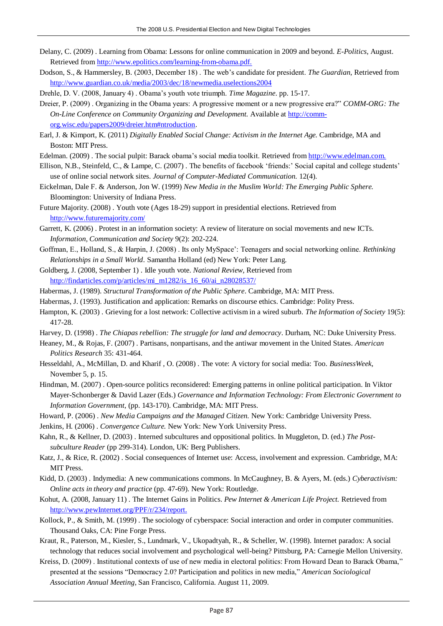- Delany, C. (2009) . Learning from Obama: Lessons for online communication in 2009 and beyond. *E-Politics*, August. Retrieved from<http://www.epolitics.com/learning-from-obama.pdf.>
- Dodson, S., & Hammersley, B. (2003, December 18) . The web's candidate for president. *The Guardian,* Retrieved from <http://www.guardian.co.uk/media/2003/dec/18/newmedia.uselections2004>

Drehle, D. V. (2008, January 4) . Obama's youth vote triumph. *Time Magazine*. pp. 15-17.

- Dreier, P. (2009). Organizing in the Obama years: A progressive moment or a new progressive era?" *COMM-ORG: The On-Line Conference on Community Organizing and Development.* Available at [http://comm](http://comm-org.wisc.edu/papers2009/dreier.htm#ntroduction)[org.wisc.edu/papers2009/dreier.htm#ntroduction.](http://comm-org.wisc.edu/papers2009/dreier.htm#ntroduction)
- Earl, J. & Kimport, K. (2011) *Digitally Enabled Social Change: Activism in the Internet Age.* Cambridge, MA and Boston: MIT Press.
- Edelman. (2009) . The social pulpit: Barack obama's social media toolkit. Retrieved from [http://www.edelman.com.](http://www.edelman.com/)
- Ellison, N.B., Steinfeld, C., & Lampe, C. (2007) . The benefits of facebook ‗friends:' Social capital and college students' use of online social network sites. *Journal of Computer-Mediated Communication.* 12(4).
- Eickelman, Dale F. & Anderson, Jon W. (1999) *New Media in the Muslim World: The Emerging Public Sphere.* Bloomington: University of Indiana Press.
- Future Majority. (2008) . Youth vote (Ages 18-29) support in presidential elections. Retrieved from <http://www.futuremajority.com/>
- Garrett, K. (2006) . Protest in an information society: A review of literature on social movements and new ICTs. *Information, Communication and Society* 9(2): 202-224.
- Goffman, E., Holland, S., & Harpin, J. (2008) . Its only MySpace': Teenagers and social networking online. *Rethinking Relationships in a Small World.* Samantha Holland (ed) New York: Peter Lang.
- Goldberg, J. (2008, September 1) . Idle youth vote. *National Review,* Retrieved from [http://findarticles.com/p/articles/mi\\_m1282/is\\_16\\_60/ai\\_n28028537/](http://findarticles.com/p/articles/mi_m1282/is_16_60/ai_n28028537/)
- Habermas, J. (1989). *Structural Transformation of the Public Sphere*. Cambridge, MA: MIT Press.
- Habermas, J. (1993). Justification and application: Remarks on discourse ethics. Cambridge: Polity Press.
- Hampton, K. (2003) . Grieving for a lost network: Collective activism in a wired suburb. *The Information of Society* 19(5): 417-28.
- Harvey, D. (1998) . *The Chiapas rebellion: The struggle for land and democracy*. Durham, NC: Duke University Press.
- Heaney, M., & Rojas, F. (2007) . Partisans, nonpartisans, and the antiwar movement in the United States. *American Politics Research* 35: 431-464.
- Hesseldahl, A., McMillan, D. and Kharif , O. (2008) . The vote: A victory for social media: Too. *BusinessWeek,*  November 5, p. 15.
- Hindman, M. (2007) . Open-source politics reconsidered: Emerging patterns in online political participation. In Viktor Mayer-Schonberger & David Lazer (Eds.) *Governance and Information Technology: From Electronic Government to Information Government,* (pp. 143-170). Cambridge, MA: MIT Press.
- Howard, P. (2006) . *New Media Campaigns and the Managed Citizen.* New York: Cambridge University Press.
- Jenkins, H. (2006) . *Convergence Culture.* New York: New York University Press.
- Kahn, R., & Kellner, D. (2003) . Interned subcultures and oppositional politics. In Muggleton, D. (ed.) *The Postsubculture Reader* (pp 299-314). London, UK: Berg Publishers.
- Katz, J., & Rice, R. (2002) . Social consequences of Internet use: Access, involvement and expression. Cambridge, MA: MIT Press.
- Kidd, D. (2003) . Indymedia: A new communications commons. In McCaughney, B. & Ayers, M. (eds.) *Cyberactivism: Online acts in theory and practice* (pp. 47-69). New York: Routledge.
- Kohut, A. (2008, January 11) . The Internet Gains in Politics. *Pew Internet & American Life Project.* Retrieved from [http://www.pewInternet.org/PPF/r/234/report.](http://www.pewinternet.org/PPF/r/234/report)
- Kollock, P., & Smith, M. (1999) . The sociology of cyberspace: Social interaction and order in computer communities. Thousand Oaks, CA: Pine Forge Press.
- Kraut, R., Paterson, M., Kiesler, S., Lundmark, V., Ukopadtyah, R., & Scheller, W. (1998). Internet paradox: A social technology that reduces social involvement and psychological well-being? Pittsburg, PA: Carnegie Mellon University.
- Kreiss, D. (2009) . Institutional contexts of use of new media in electoral politics: From Howard Dean to Barack Obama," presented at the sessions "Democracy 2.0? Participation and politics in new media," American Sociological *Association Annual Meeting*, San Francisco, California. August 11, 2009.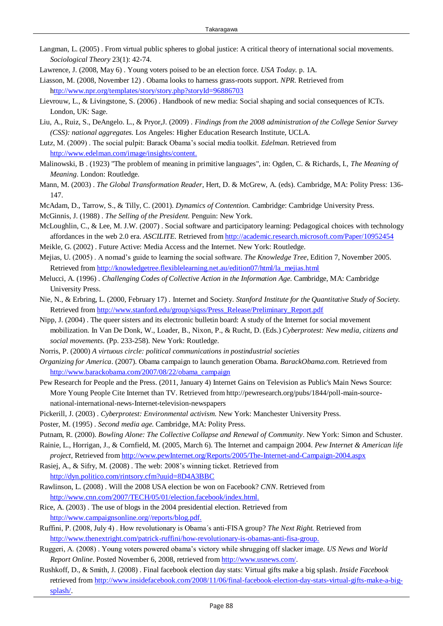- Langman, L. (2005) . From virtual public spheres to global justice: A critical theory of international social movements. *Sociological Theory* 23(1): 42-74.
- Lawrence, J. (2008, May 6) . Young voters poised to be an election force. *USA Today.* p. 1A.
- Liasson, M. (2008, November 12) . Obama looks to harness grass-roots support. *NPR*. Retrieved from <http://www.npr.org/templates/story/story.php?storyId=96886703>
- Lievrouw, L., & Livingstone, S. (2006) . Handbook of new media: Social shaping and social consequences of ICTs. London, UK: Sage.
- Liu, A., Ruiz, S., DeAngelo. L., & Pryor,J. (2009) . *Findings from the 2008 administration of the College Senior Survey (CSS): national aggregates.* Los Angeles: Higher Education Research Institute, UCLA.
- Lutz, M. (2009) . The social pulpit: Barack Obama's social media toolkit. *Edelman.* Retrieved from [http://www.edelman.com/image/insights/content.](http://www.edelman.com/image/insights/content)
- Malinowski, B . (1923) "The problem of meaning in primitive languages", in: Ogden, C. & Richards, I., *The Meaning of Meaning*. London: Routledge.
- Mann, M. (2003) . *The Global Transformation Reader*, Hert, D. & McGrew, A. (eds). Cambridge, MA: Polity Press: 136- 147.
- McAdam, D., Tarrow, S., & Tilly, C. (2001). *Dynamics of Contention.* Cambridge: Cambridge University Press.
- McGinnis, J. (1988) . *The Selling of the President.* Penguin: New York.
- McLoughlin, C., & Lee, M. J.W. (2007) . Social software and participatory learning: Pedagogical choices with technology affordances in the web 2.0 era. *ASCILITE.* Retrieved from<http://academic.research.microsoft.com/Paper/10952454>
- Meikle, G. (2002) . Future Active: Media Access and the Internet. New York: Routledge.
- Mejias, U. (2005) . A nomad's guide to learning the social software. *The Knowledge Tree*, Edition 7, November 2005. Retrieved from [http://knowledgetree.flexiblelearning.net.au/edition07/html/la\\_mejias.html](http://knowledgetree.flexiblelearning.net.au/edition07/html/la_mejias.html)
- Melucci, A. (1996) . *Challenging Codes of Collective Action in the Information Age*. Cambridge, MA: Cambridge University Press.
- Nie, N., & Erbring, L. (2000, February 17) . Internet and Society. *Stanford Institute for the Quantitative Study of Society.* Retrieved from [http://www.stanford.edu/group/siqss/Press\\_Release/Preliminary\\_Report.pdf](http://www.stanford.edu/group/siqss/Press_Release/Preliminary_Report.pdf)
- Nipp, J. (2004) . The queer sisters and its electronic bulletin board: A study of the Internet for social movement mobilization. In Van De Donk, W., Loader, B., Nixon, P., & Rucht, D. (Eds.) *Cyberprotest: New media, citizens and social movements.* (Pp. 233-258). New York: Routledge.
- Norris, P. (2000) *A virtuous circle: political communications in postindustrial societies*
- *Organizing for America*. (2007). Obama campaign to launch generation Obama. *BarackObama.com.* Retrieved from [http://www.barackobama.com/2007/08/22/obama\\_campaign](http://www.barackobama.com/2007/08/22/obama_campaign)
- Pew Research for People and the Press. (2011, January 4) Internet Gains on Television as Public's Main News Source: More Young People Cite Internet than TV. Retrieved from http://pewresearch.org/pubs/1844/poll-main-sourcenational-international-news-Internet-television-newspapers
- Pickerill, J. (2003) . *Cyberprotest: Environmental activism.* New York: Manchester University Press.
- Poster, M. (1995) . *Second media age.* Cambridge, MA: Polity Press.
- Putnam, R. (2000). *Bowling Alone: The Collective Collapse and Renewal of Community*. New York: Simon and Schuster.
- Rainie, L., Horrigan, J., & Cornfield, M. (2005, March 6). The Internet and campaign 2004. *Pew Internet & American life project,* Retrieved from [http://www.pewInternet.org/Reports/2005/The-Internet-and-Campaign-2004.aspx](http://www.pewinternet.org/Reports/2005/The-Internet-and-Campaign-2004.aspx)
- Rasiej, A., & Sifry, M. (2008) . The web: 2008's winning ticket. Retrieved from <http://dyn.politico.com/rintsory.cfm?uuid=8D4A3BBC>
- Rawlinson, L. (2008) . Will the 2008 USA election be won on Facebook? *CNN*. Retrieved from [http://www.cnn.com/2007/TECH/05/01/election.facebook/index.html.](http://www.cnn.com/2007/TECH/05/01/election.facebook/index.html)
- Rice, A. (2003) . The use of blogs in the 2004 presidential election. Retrieved from [http://www.campaignsonline.org//reports/blog.pdf.](http://www.campaignsonline.org/reports/blog.pdf)
- Ruffini, P. (2008, July 4) . How revolutionary is Obama´s anti-FISA group? *The Next Right.* Retrieved from [http://www.thenextright.com/patrick-ruffini/how-revolutionary-is-obamas-anti-fisa-group.](http://www.thenextright.com/patrick-ruffini/how-revolutionary-is-obamas-anti-fisa-group)
- Ruggeri, A. (2008) . Young voters powered obama's victory while shrugging off slacker image. *US News and World Report Online*. Posted November 6, 2008, retrieved from [http://www.usnews.com/.](http://www.usnews.com/)
- Rushkoff, D., & Smith, J. (2008) . Final facebook election day stats: Virtual gifts make a big splash. *Inside Facebook* retrieved from [http://www.insidefacebook.com/2008/11/06/final-facebook-election-day-stats-virtual-gifts-make-a-big](http://www.insidefacebook.com/2008/11/06/final-facebook-election-day-stats-virtual-gifts-make-a-big-splash/)[splash/.](http://www.insidefacebook.com/2008/11/06/final-facebook-election-day-stats-virtual-gifts-make-a-big-splash/)